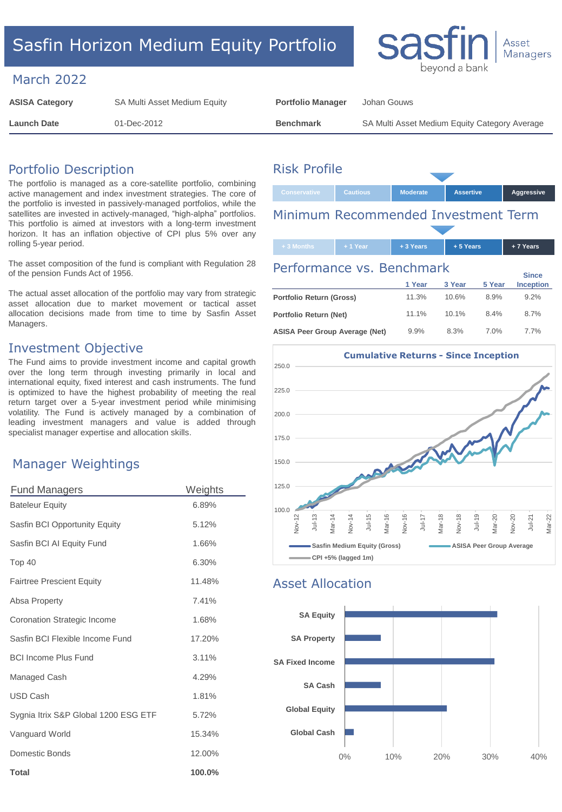# Sasfin Horizon Medium Equity Portfolio

#### March 2022

| <b>ASISA Category</b> | SA Multi Asset Medium Equity | <b>Portfolio Manager</b> | Johan Gouws                                   |
|-----------------------|------------------------------|--------------------------|-----------------------------------------------|
| Launch Date           | 01-Dec-2012                  | <b>Benchmark</b>         | SA Multi Asset Medium Equity Category Average |

## Portfolio Description

The portfolio is managed as a core-satellite portfolio, combining active management and index investment strategies. The core of the portfolio is invested in passively-managed portfolios, while the satellites are invested in actively-managed, "high-alpha" portfolios. This portfolio is aimed at investors with a long-term investment horizon. It has an inflation objective of CPI plus 5% over any rolling 5-year period.

The asset composition of the fund is compliant with Regulation 28 of the pension Funds Act of 1956.

The actual asset allocation of the portfolio may vary from strategic asset allocation due to market movement or tactical asset allocation decisions made from time to time by Sasfin Asset Managers.

### Investment Objective

The Fund aims to provide investment income and capital growth over the long term through investing primarily in local and international equity, fixed interest and cash instruments. The fund is optimized to have the highest probability of meeting the real return target over a 5-year investment period while minimising volatility. The Fund is actively managed by a combination of leading investment managers and value is added through specialist manager expertise and allocation skills.

## Manager Weightings

| <b>Fund Managers</b>                 | Weights |  |  |
|--------------------------------------|---------|--|--|
| <b>Bateleur Equity</b>               | 6.89%   |  |  |
| Sasfin BCI Opportunity Equity        | 5.12%   |  |  |
| Sasfin BCI AI Equity Fund            | 1.66%   |  |  |
| Top 40                               | 6.30%   |  |  |
| <b>Fairtree Prescient Equity</b>     | 11.48%  |  |  |
| Absa Property                        | 7.41%   |  |  |
| Coronation Strategic Income          | 1.68%   |  |  |
| Sasfin BCI Flexible Income Fund      | 17.20%  |  |  |
| <b>BCI Income Plus Fund</b>          | 3.11%   |  |  |
| Managed Cash                         | 4.29%   |  |  |
| <b>USD Cash</b>                      | 1.81%   |  |  |
| Sygnia Itrix S&P Global 1200 ESG ETF | 5.72%   |  |  |
| Vanguard World                       | 15.34%  |  |  |
| Domestic Bonds                       | 12.00%  |  |  |
| <b>Total</b>                         | 100.0%  |  |  |

# Risk Profile



bevond al

Asset Managers

# Minimum Recommended Investment Term

| $+3$ Months                                                                                            | $+1$ Year | + 3 Years | +5 Years |        | $+7$ Years       |  |  |
|--------------------------------------------------------------------------------------------------------|-----------|-----------|----------|--------|------------------|--|--|
| Performance vs. Benchmark                                                                              |           |           |          |        |                  |  |  |
|                                                                                                        |           | 1 Year    | 3 Year   | 5 Year | <b>Inception</b> |  |  |
| Portfolio Return (Gross)                                                                               |           | 11.3%     | 10.6%    | 8.9%   | 9.2%             |  |  |
| Portfolio Return (Net)                                                                                 |           | 11.1%     | 10.1%    | 8.4%   | 8.7%             |  |  |
| $\mathbf{A} \cap \mathbf{A} \cap \mathbf{B}$ $\mathbf{A} \cap \mathbf{A}$ $\mathbf{A} \cap \mathbf{A}$ |           | 0.001     | 0.201    | 7.001  | 7707             |  |  |



### Asset Allocation